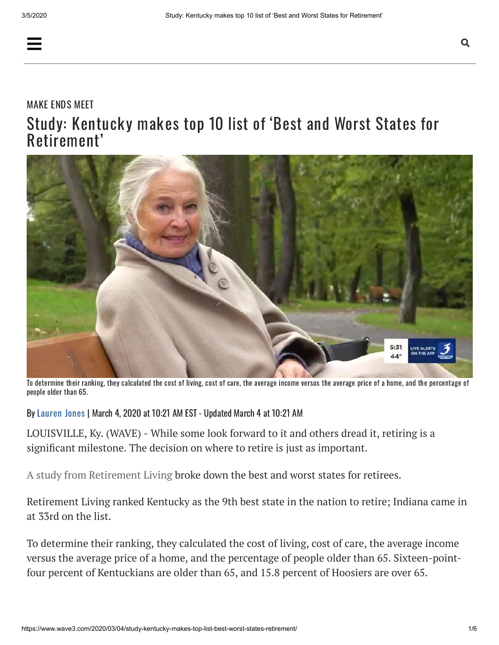## [MAKE](https://www.wave3.com/news/consumer/make-ends-meet) ENDS MEET Study: Kentucky makes top 10 list of 'Best and Worst States for Retirement'



To determine their ranking, they calculated the cost of living, cost of care, the average income versus the average price of a home, and the percentage of people older than 65.

By [Lauren](https://www.wave3.com/authors/lauren-jones/) Jones | March 4, 2020 at 10:21 AM EST - Updated March 4 at 10:21 AM

LOUISVILLE, Ky. (WAVE) - While some look forward to it and others dread it, retiring is a significant milestone. The decision on where to retire is just as important.

A study from Retirement Living broke down the best and worst states for retirees.

Retirement Living ranked Kentucky as the 9th best state in the nation to retire; Indiana came in at 33rd on the list.

To determine their ranking, they calculated the cost of living, cost of care, the average income versus the average price of a home, and the percentage of people older than 65. Sixteen-pointfour percent of Kentuckians are older than 65, and 15.8 percent of Hoosiers are over 65.